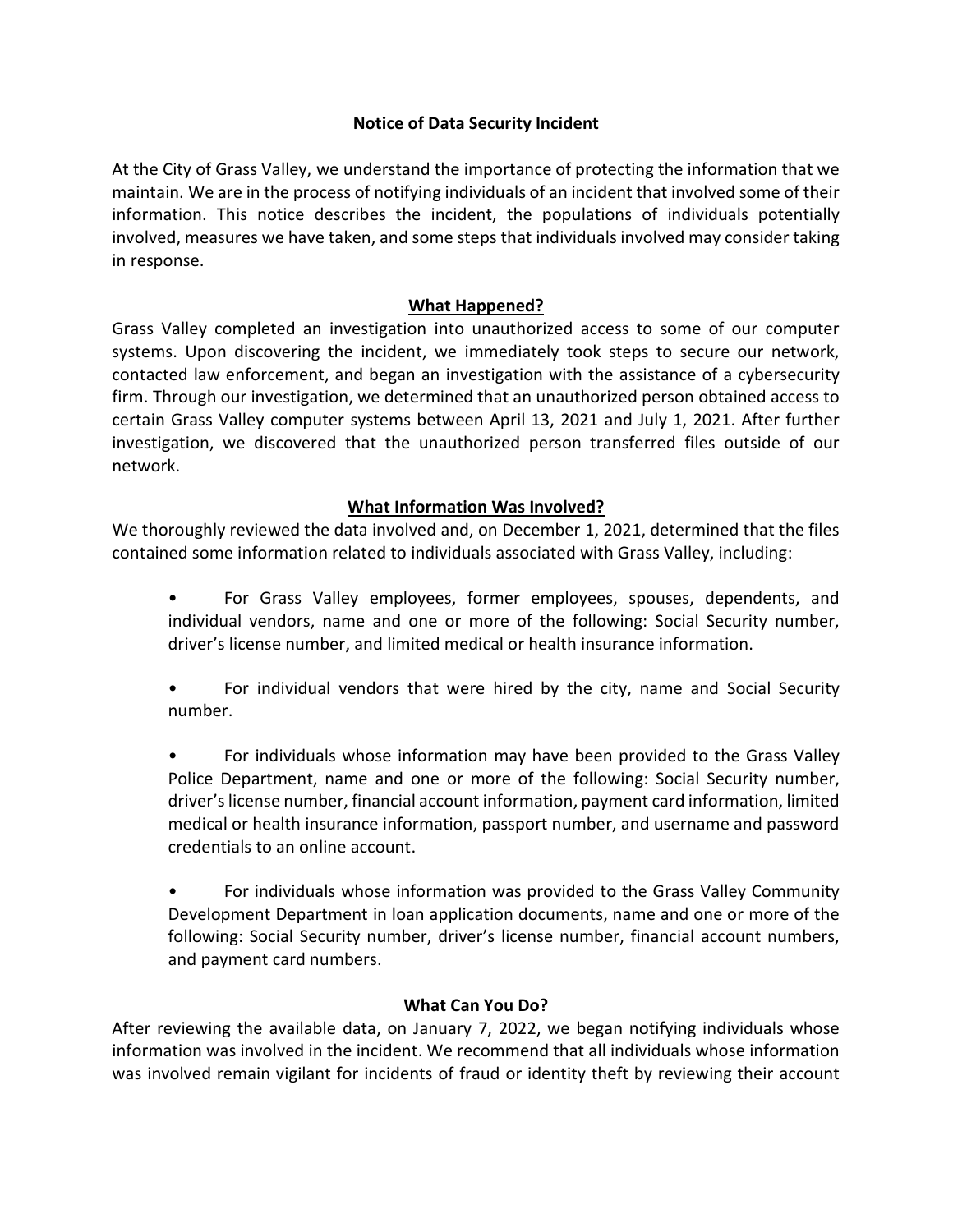## Notice of Data Security Incident

At the City of Grass Valley, we understand the importance of protecting the information that we maintain. We are in the process of notifying individuals of an incident that involved some of their information. This notice describes the incident, the populations of individuals potentially involved, measures we have taken, and some steps that individuals involved may consider taking in response.

## What Happened?

Grass Valley completed an investigation into unauthorized access to some of our computer systems. Upon discovering the incident, we immediately took steps to secure our network, contacted law enforcement, and began an investigation with the assistance of a cybersecurity firm. Through our investigation, we determined that an unauthorized person obtained access to certain Grass Valley computer systems between April 13, 2021 and July 1, 2021. After further investigation, we discovered that the unauthorized person transferred files outside of our network.

## What Information Was Involved?

We thoroughly reviewed the data involved and, on December 1, 2021, determined that the files contained some information related to individuals associated with Grass Valley, including:

- For Grass Valley employees, former employees, spouses, dependents, and individual vendors, name and one or more of the following: Social Security number, driver's license number, and limited medical or health insurance information.
- For individual vendors that were hired by the city, name and Social Security number.
- For individuals whose information may have been provided to the Grass Valley Police Department, name and one or more of the following: Social Security number, driver's license number, financial account information, payment card information, limited medical or health insurance information, passport number, and username and password credentials to an online account.

• For individuals whose information was provided to the Grass Valley Community Development Department in loan application documents, name and one or more of the following: Social Security number, driver's license number, financial account numbers, and payment card numbers.

# What Can You Do?

After reviewing the available data, on January 7, 2022, we began notifying individuals whose information was involved in the incident. We recommend that all individuals whose information was involved remain vigilant for incidents of fraud or identity theft by reviewing their account